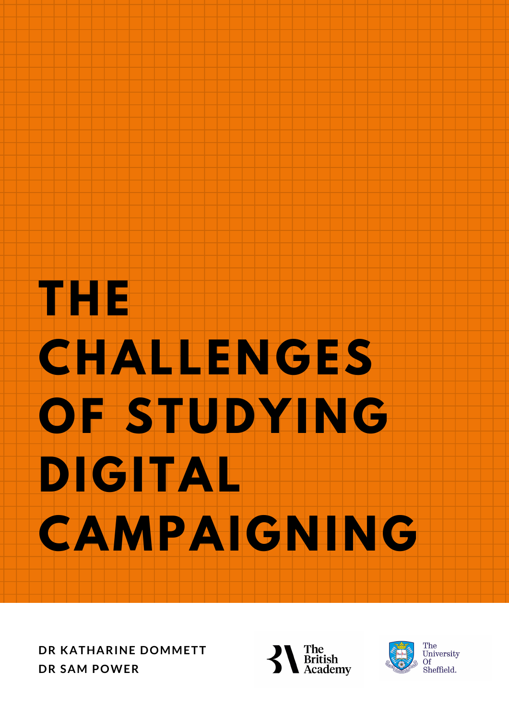# **THE CHALLENGES OF STUDYING DIGITAL CAMPAIGNING**

**DR KATHARINE DOMMETT DR SAM POWER**



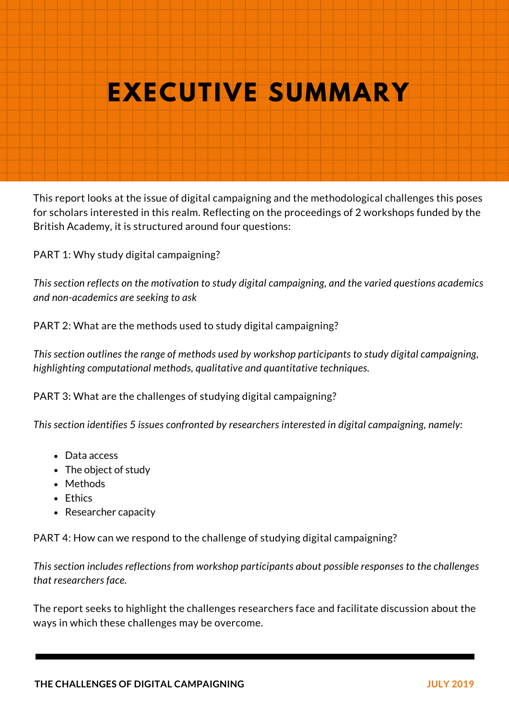# **OUR EXECUTIVE SUMMARY**

This report looks at the issue of digital campaigning and the methodological challenges this poses for scholars interested in this realm. Reflecting on the proceedings of 2 workshops funded by the British Academy, it is structured around four questions:

PART 1: Why study digital campaigning?

*This section reflects on the motivation to study digital campaigning, and the varied questions academics and non-academics are seeking to ask*

PART 2: What are the methods used to study digital campaigning?

*This section outlines the range of methods used by workshop participants to study digital campaigning, highlighting computational methods, qualitative and quantitative techniques.*

PART 3: What are the challenges of studying digital campaigning?

*This section identifies 5 issues confronted by researchers interested in digital campaigning, namely:*

- Data access
- The object of study
- Methods
- Ethics
- Researcher capacity

PART 4: How can we respond to the challenge of studying digital campaigning?

*This section includes reflections from workshop participants about possible responses to the challenges that researchers face.*

The report seeks to highlight the challenges researchers face and facilitate discussion about the ways in which these challenges may be overcome.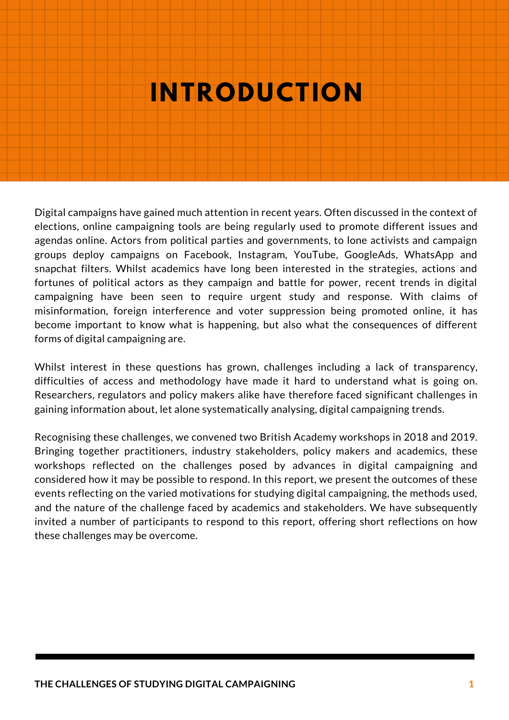### **OUR SERVER INTRODUCTION**

Digital campaigns have gained much attention in recent years. Often discussed in the context of elections, online campaigning tools are being regularly used to promote different issues and agendas online. Actors from political parties and governments, to lone activists and campaign groups deploy campaigns on Facebook, Instagram, YouTube, GoogleAds, WhatsApp and snapchat filters. Whilst academics have long been interested in the strategies, actions and fortunes of political actors as they campaign and battle for power, recent trends in digital campaigning have been seen to require urgent study and response. With claims of misinformation, foreign interference and voter suppression being promoted online, it has become important to know what is happening, but also what the consequences of different forms of digital campaigning are.

Whilst interest in these questions has grown, challenges including a lack of transparency, difficulties of access and methodology have made it hard to understand what is going on. Researchers, regulators and policy makers alike have therefore faced significant challenges in gaining information about, let alone systematically analysing, digital campaigning trends.

Recognising these challenges, we convened two British Academy workshops in 2018 and 2019. Bringing together practitioners, industry stakeholders, policy makers and academics, these workshops reflected on the challenges posed by advances in digital campaigning and considered how it may be possible to respond. In this report, we present the outcomes of these events reflecting on the varied motivations for studying digital campaigning, the methods used, and the nature of the challenge faced by academics and stakeholders. We have subsequently invited a number of participants to respond to this report, offering short reflections on how these challenges may be overcome.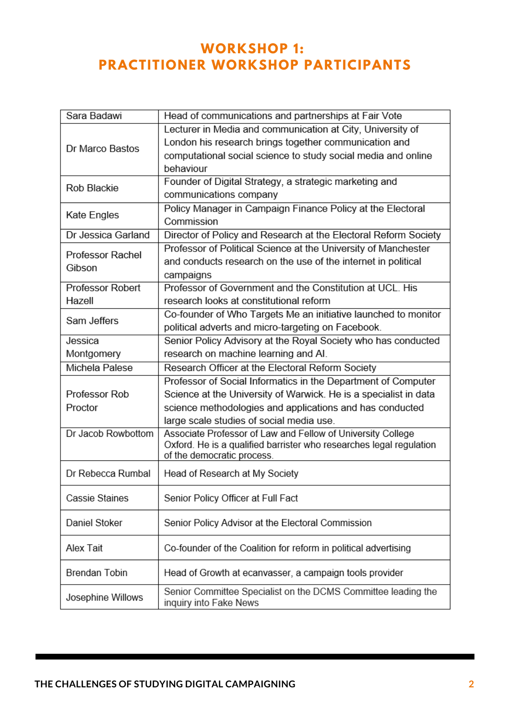### **WORKSHOP 1 : PRACTITIONER WORKSHOP PARTICIPANTS**

| Sara Badawi                | Head of communications and partnerships at Fair Vote                                              |  |
|----------------------------|---------------------------------------------------------------------------------------------------|--|
| Dr Marco Bastos            | Lecturer in Media and communication at City, University of                                        |  |
|                            | London his research brings together communication and                                             |  |
|                            | computational social science to study social media and online                                     |  |
|                            | behaviour                                                                                         |  |
| Rob Blackie                | Founder of Digital Strategy, a strategic marketing and                                            |  |
|                            | communications company                                                                            |  |
| Kate Engles                | Policy Manager in Campaign Finance Policy at the Electoral                                        |  |
|                            | Commission                                                                                        |  |
| Dr Jessica Garland         | Director of Policy and Research at the Electoral Reform Society                                   |  |
| Professor Rachel<br>Gibson | Professor of Political Science at the University of Manchester                                    |  |
|                            | and conducts research on the use of the internet in political                                     |  |
|                            | campaigns                                                                                         |  |
| Professor Robert           | Professor of Government and the Constitution at UCL. His                                          |  |
| Hazell                     | research looks at constitutional reform                                                           |  |
| Sam Jeffers                | Co-founder of Who Targets Me an initiative launched to monitor                                    |  |
|                            | political adverts and micro-targeting on Facebook.                                                |  |
| Jessica                    | Senior Policy Advisory at the Royal Society who has conducted                                     |  |
| Montgomery                 | research on machine learning and AI.                                                              |  |
| Michela Palese             | Research Officer at the Electoral Reform Society                                                  |  |
|                            | Professor of Social Informatics in the Department of Computer                                     |  |
| Professor Rob              | Science at the University of Warwick. He is a specialist in data                                  |  |
| Proctor                    | science methodologies and applications and has conducted                                          |  |
|                            | large scale studies of social media use.                                                          |  |
| Dr Jacob Rowbottom         | Associate Professor of Law and Fellow of University College                                       |  |
|                            | Oxford. He is a qualified barrister who researches legal regulation<br>of the democratic process. |  |
|                            |                                                                                                   |  |
| Dr Rebecca Rumbal          | Head of Research at My Society                                                                    |  |
|                            |                                                                                                   |  |
| Cassie Staines             | Senior Policy Officer at Full Fact                                                                |  |
| Daniel Stoker              | Senior Policy Advisor at the Electoral Commission                                                 |  |
|                            |                                                                                                   |  |
| Alex Tait                  | Co-founder of the Coalition for reform in political advertising                                   |  |
|                            |                                                                                                   |  |
| <b>Brendan Tobin</b>       | Head of Growth at ecanvasser, a campaign tools provider                                           |  |
|                            | Senior Committee Specialist on the DCMS Committee leading the                                     |  |
| Josephine Willows          | inquiry into Fake News                                                                            |  |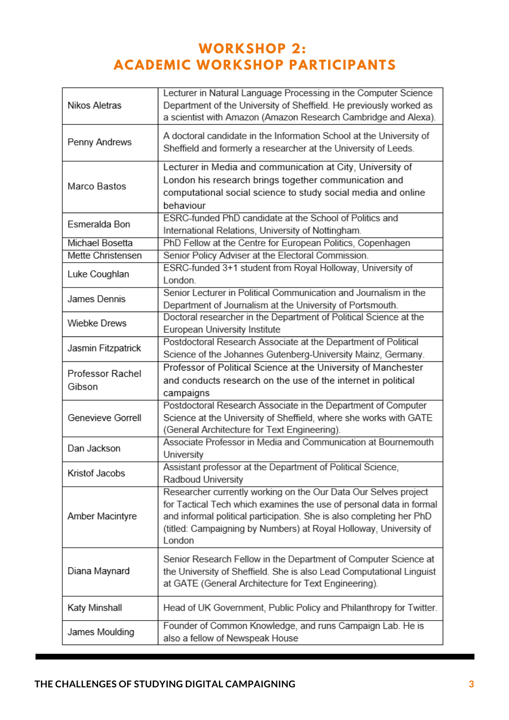### **WORKSHOP 2: ACADEMIC WORKSHOP PARTICIPANTS**

| Nikos Aletras              | Lecturer in Natural Language Processing in the Computer Science<br>Department of the University of Sheffield. He previously worked as<br>a scientist with Amazon (Amazon Research Cambridge and Alexa).                                                                                       |
|----------------------------|-----------------------------------------------------------------------------------------------------------------------------------------------------------------------------------------------------------------------------------------------------------------------------------------------|
| Penny Andrews              | A doctoral candidate in the Information School at the University of<br>Sheffield and formerly a researcher at the University of Leeds.                                                                                                                                                        |
| Marco Bastos               | Lecturer in Media and communication at City, University of<br>London his research brings together communication and<br>computational social science to study social media and online<br>behaviour                                                                                             |
| Esmeralda Bon              | ESRC-funded PhD candidate at the School of Politics and<br>International Relations, University of Nottingham.                                                                                                                                                                                 |
| Michael Bosetta            | PhD Fellow at the Centre for European Politics, Copenhagen                                                                                                                                                                                                                                    |
| Mette Christensen          | Senior Policy Adviser at the Electoral Commission.                                                                                                                                                                                                                                            |
| Luke Coughlan              | ESRC-funded 3+1 student from Royal Holloway, University of<br>London.                                                                                                                                                                                                                         |
| James Dennis               | Senior Lecturer in Political Communication and Journalism in the<br>Department of Journalism at the University of Portsmouth.                                                                                                                                                                 |
| Wiebke Drews               | Doctoral researcher in the Department of Political Science at the<br>European University Institute                                                                                                                                                                                            |
| Jasmin Fitzpatrick         | Postdoctoral Research Associate at the Department of Political<br>Science of the Johannes Gutenberg-University Mainz, Germany.                                                                                                                                                                |
| Professor Rachel<br>Gibson | Professor of Political Science at the University of Manchester<br>and conducts research on the use of the internet in political<br>campaigns                                                                                                                                                  |
| Genevieve Gorrell          | Postdoctoral Research Associate in the Department of Computer<br>Science at the University of Sheffield, where she works with GATE<br>(General Architecture for Text Engineering).                                                                                                            |
| Dan Jackson                | Associate Professor in Media and Communication at Bournemouth<br>University                                                                                                                                                                                                                   |
| Kristof Jacobs             | Assistant professor at the Department of Political Science,<br>Radboud University                                                                                                                                                                                                             |
| Amber Macintyre            | Researcher currently working on the Our Data Our Selves project<br>for Tactical Tech which examines the use of personal data in formal<br>and informal political participation. She is also completing her PhD<br>(titled: Campaigning by Numbers) at Royal Holloway, University of<br>London |
| Diana Maynard              | Senior Research Fellow in the Department of Computer Science at<br>the University of Sheffield. She is also Lead Computational Linguist<br>at GATE (General Architecture for Text Engineering).                                                                                               |
| Katy Minshall              | Head of UK Government, Public Policy and Philanthropy for Twitter.                                                                                                                                                                                                                            |
| James Moulding             | Founder of Common Knowledge, and runs Campaign Lab. He is<br>also a fellow of Newspeak House                                                                                                                                                                                                  |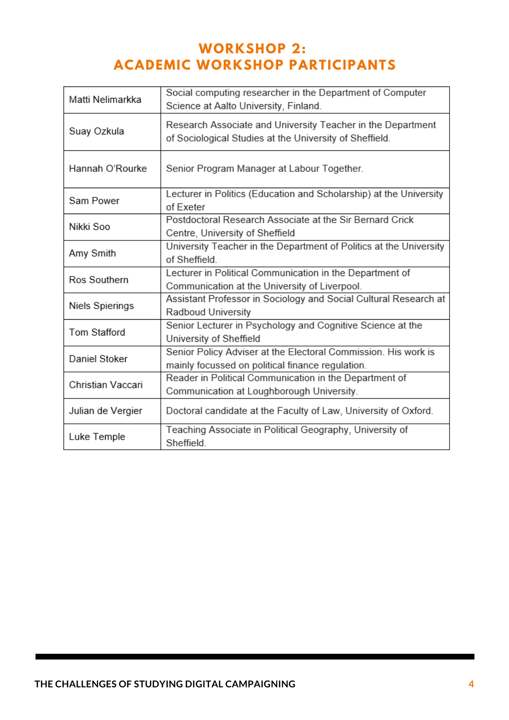### **WORKSHOP 2: ACADEMIC WORKSHOP PARTICIPANTS**

| Matti Nelimarkka  | Social computing researcher in the Department of Computer<br>Science at Aalto University, Finland.                     |  |
|-------------------|------------------------------------------------------------------------------------------------------------------------|--|
| Suay Ozkula       | Research Associate and University Teacher in the Department<br>of Sociological Studies at the University of Sheffield. |  |
| Hannah O'Rourke   | Senior Program Manager at Labour Together.                                                                             |  |
| Sam Power         | Lecturer in Politics (Education and Scholarship) at the University<br>of Exeter                                        |  |
| Nikki Soo         | Postdoctoral Research Associate at the Sir Bernard Crick<br>Centre, University of Sheffield                            |  |
| Amy Smith         | University Teacher in the Department of Politics at the University<br>of Sheffield.                                    |  |
| Ros Southern      | Lecturer in Political Communication in the Department of<br>Communication at the University of Liverpool.              |  |
| Niels Spierings   | Assistant Professor in Sociology and Social Cultural Research at<br>Radboud University                                 |  |
| Tom Stafford      | Senior Lecturer in Psychology and Cognitive Science at the<br>University of Sheffield                                  |  |
| Daniel Stoker     | Senior Policy Adviser at the Electoral Commission. His work is<br>mainly focussed on political finance regulation.     |  |
| Christian Vaccari | Reader in Political Communication in the Department of<br>Communication at Loughborough University.                    |  |
| Julian de Vergier | Doctoral candidate at the Faculty of Law, University of Oxford.                                                        |  |
| Luke Temple       | Teaching Associate in Political Geography, University of<br>Sheffield.                                                 |  |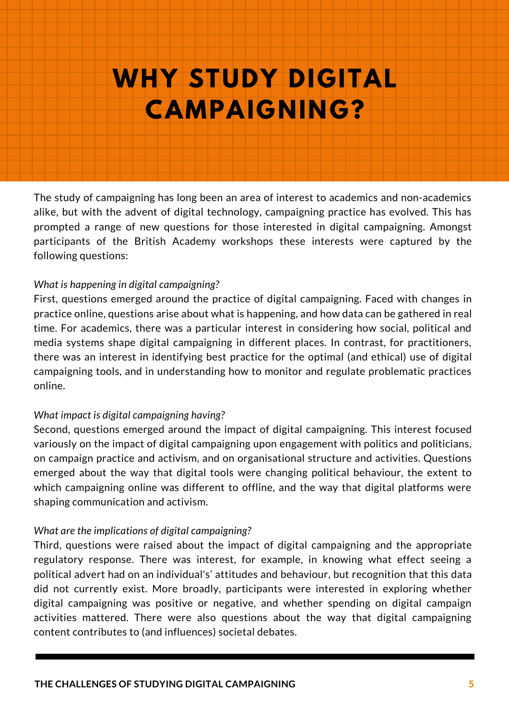### **OUR CONSTRUCTED WHY STUDY DIGITAL CAMPAIGNING?**

The study of campaigning has long been an area of interest to academics and non-academics alike, but with the advent of digital technology, campaigning practice has evolved. This has prompted a range of new questions for those interested in digital campaigning. Amongst participants of the British Academy workshops these interests were captured by the following questions:

### *What is happening in digital campaigning?*

First, questions emerged around the practice of digital campaigning. Faced with changes in practice online, questions arise about what is happening, and how data can be gathered in real time. For academics, there was a particular interest in considering how social, political and media systems shape digital campaigning in different places. In contrast, for practitioners, there was an interest in identifying best practice for the optimal (and ethical) use of digital campaigning tools, and in understanding how to monitor and regulate problematic practices online.

### *What impact is digital campaigning having?*

Second, questions emerged around the impact of digital campaigning. This interest focused variously on the impact of digital campaigning upon engagement with politics and politicians, on campaign practice and activism, and on organisational structure and activities. Questions emerged about the way that digital tools were changing political behaviour, the extent to which campaigning online was different to offline, and the way that digital platforms were shaping communication and activism.

### *What are the implications of digital campaigning?*

Third, questions were raised about the impact of digital campaigning and the appropriate regulatory response. There was interest, for example, in knowing what effect seeing a political advert had on an individual's' attitudes and behaviour, but recognition that this data did not currently exist. More broadly, participants were interested in exploring whether digital campaigning was positive or negative, and whether spending on digital campaign activities mattered. There were also questions about the way that digital campaigning content contributes to (and influences) societal debates.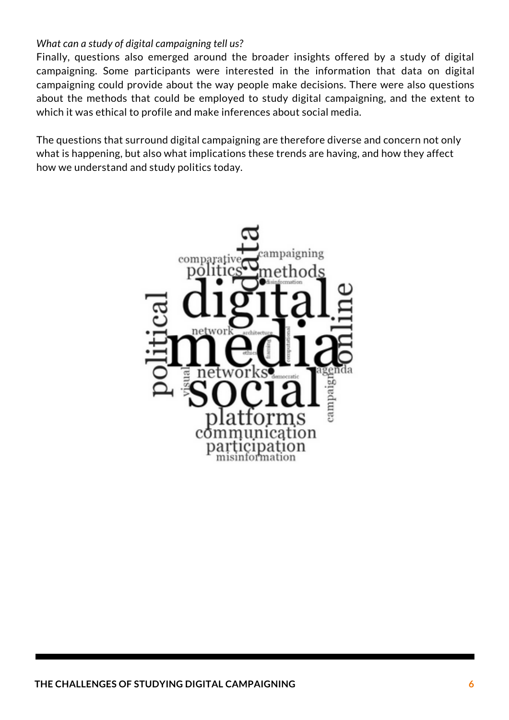### *What can a study of digital campaigning tell us?*

Finally, questions also emerged around the broader insights offered by a study of digital campaigning. Some participants were interested in the information that data on digital campaigning could provide about the way people make decisions. There were also questions about the methods that could be employed to study digital campaigning, and the extent to which it was ethical to profile and make inferences about social media.

The questions that surround digital campaigning are therefore diverse and concern not only what is happening, but also what implications these trends are having, and how they affect how we understand and study politics today.

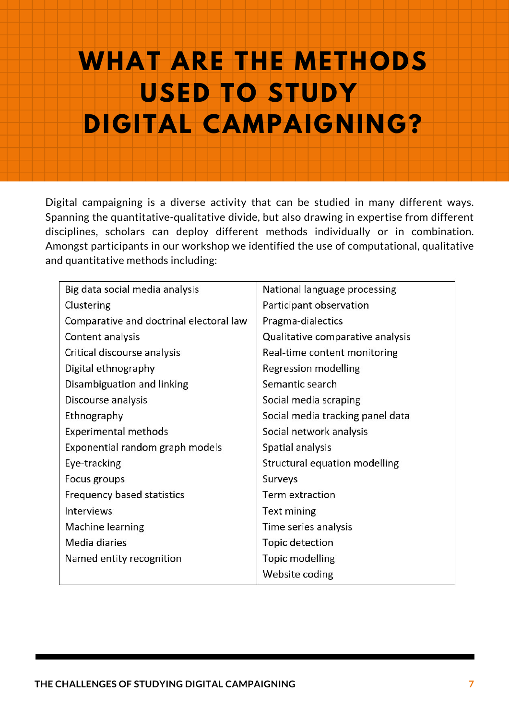## **OUR WHAT ARE THE METHODS USED TO STUDY DIGITAL CAMPAIGNING?**

Digital campaigning is a diverse activity that can be studied in many different ways. Spanning the quantitative-qualitative divide, but also drawing in expertise from different disciplines, scholars can deploy different methods individually or in combination. Amongst participants in our workshop we identified the use of computational, qualitative and quantitative methods including:

| Big data social media analysis          | National language processing     |
|-----------------------------------------|----------------------------------|
| Clustering                              | Participant observation          |
| Comparative and doctrinal electoral law | Pragma-dialectics                |
| Content analysis                        | Qualitative comparative analysis |
| Critical discourse analysis             | Real-time content monitoring     |
| Digital ethnography                     | Regression modelling             |
| Disambiguation and linking              | Semantic search                  |
| Discourse analysis                      | Social media scraping            |
| Ethnography                             | Social media tracking panel data |
| <b>Experimental methods</b>             | Social network analysis          |
| Exponential random graph models         | Spatial analysis                 |
| Eye-tracking                            | Structural equation modelling    |
| Focus groups                            | Surveys                          |
| Frequency based statistics              | Term extraction                  |
| Interviews                              | Text mining                      |
| Machine learning                        | Time series analysis             |
| Media diaries                           | Topic detection                  |
| Named entity recognition                | Topic modelling                  |
|                                         | Website coding                   |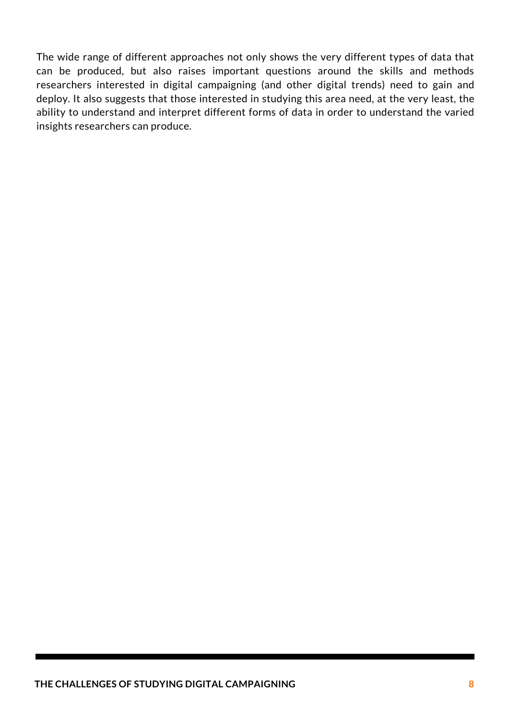The wide range of different approaches not only shows the very different types of data that can be produced, but also raises important questions around the skills and methods researchers interested in digital campaigning (and other digital trends) need to gain and deploy. It also suggests that those interested in studying this area need, at the very least, the ability to understand and interpret different forms of data in order to understand the varied insights researchers can produce.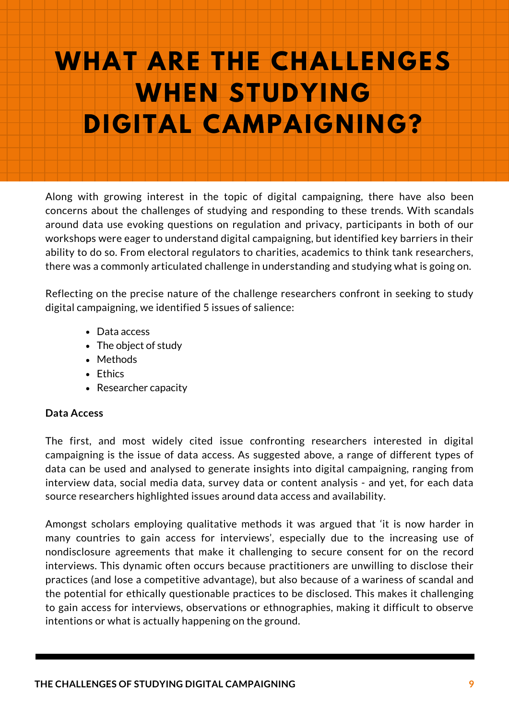## **OUR SERVER WHAT ARE THE CHALLENGES WHEN STUDYING DIGITAL CAMPAIGNING?**

Along with growing interest in the topic of digital campaigning, there have also been concerns about the challenges of studying and responding to these trends. With scandals around data use evoking questions on regulation and privacy, participants in both of our workshops were eager to understand digital campaigning, but identified key barriers in their ability to do so. From electoral regulators to charities, academics to think tank researchers, there was a commonly articulated challenge in understanding and studying what is going on.

Reflecting on the precise nature of the challenge researchers confront in seeking to study digital campaigning, we identified 5 issues of salience:

- Data access
- The object of study
- Methods
- Ethics
- Researcher capacity

### **Data Access**

The first, and most widely cited issue confronting researchers interested in digital campaigning is the issue of data access. As suggested above, a range of different types of data can be used and analysed to generate insights into digital campaigning, ranging from interview data, social media data, survey data or content analysis - and yet, for each data source researchers highlighted issues around data access and availability.

Amongst scholars employing qualitative methods it was argued that 'it is now harder in many countries to gain access for interviews', especially due to the increasing use of nondisclosure agreements that make it challenging to secure consent for on the record interviews. This dynamic often occurs because practitioners are unwilling to disclose their practices (and lose a competitive advantage), but also because of a wariness of scandal and the potential for ethically questionable practices to be disclosed. This makes it challenging to gain access for interviews, observations or ethnographies, making it difficult to observe intentions or what is actually happening on the ground.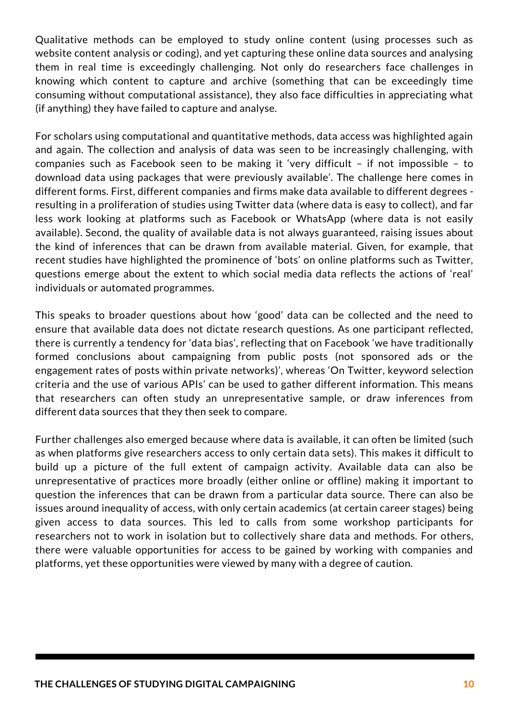Qualitative methods can be employed to study online content (using processes such as website content analysis or coding), and yet capturing these online data sources and analysing them in real time is exceedingly challenging. Not only do researchers face challenges in knowing which content to capture and archive (something that can be exceedingly time consuming without computational assistance), they also face difficulties in appreciating what (if anything) they have failed to capture and analyse.

For scholars using computational and quantitative methods, data access was highlighted again and again. The collection and analysis of data was seen to be increasingly challenging, with companies such as Facebook seen to be making it 'very difficult – if not impossible – to download data using packages that were previously available'. The challenge here comes in different forms. First, different companies and firms make data available to different degrees resulting in a proliferation of studies using Twitter data (where data is easy to collect), and far less work looking at platforms such as Facebook or WhatsApp (where data is not easily available). Second, the quality of available data is not always guaranteed, raising issues about the kind of inferences that can be drawn from available material. Given, for example, that recent studies have highlighted the prominence of 'bots' on online platforms such as Twitter, questions emerge about the extent to which social media data reflects the actions of 'real' individuals or automated programmes.

This speaks to broader questions about how 'good' data can be collected and the need to ensure that available data does not dictate research questions. As one participant reflected, there is currently a tendency for 'data bias', reflecting that on Facebook 'we have traditionally formed conclusions about campaigning from public posts (not sponsored ads or the engagement rates of posts within private networks)', whereas 'On Twitter, keyword selection criteria and the use of various APIs' can be used to gather different information. This means that researchers can often study an unrepresentative sample, or draw inferences from different data sources that they then seek to compare.

Further challenges also emerged because where data is available, it can often be limited (such as when platforms give researchers access to only certain data sets). This makes it difficult to build up a picture of the full extent of campaign activity. Available data can also be unrepresentative of practices more broadly (either online or offline) making it important to question the inferences that can be drawn from a particular data source. There can also be issues around inequality of access, with only certain academics (at certain career stages) being given access to data sources. This led to calls from some workshop participants for researchers not to work in isolation but to collectively share data and methods. For others, there were valuable opportunities for access to be gained by working with companies and platforms, yet these opportunities were viewed by many with a degree of caution.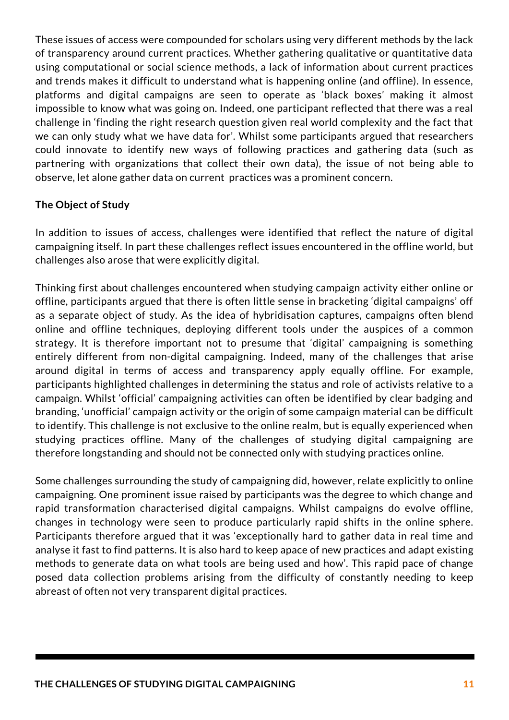These issues of access were compounded for scholars using very different methods by the lack of transparency around current practices. Whether gathering qualitative or quantitative data using computational or social science methods, a lack of information about current practices and trends makes it difficult to understand what is happening online (and offline). In essence, platforms and digital campaigns are seen to operate as 'black boxes' making it almost impossible to know what was going on. Indeed, one participant reflected that there was a real challenge in 'finding the right research question given real world complexity and the fact that we can only study what we have data for'. Whilst some participants argued that researchers could innovate to identify new ways of following practices and gathering data (such as partnering with organizations that collect their own data), the issue of not being able to observe, let alone gather data on current practices was a prominent concern.

### **The Object of Study**

In addition to issues of access, challenges were identified that reflect the nature of digital campaigning itself. In part these challenges reflect issues encountered in the offline world, but challenges also arose that were explicitly digital.

Thinking first about challenges encountered when studying campaign activity either online or offline, participants argued that there is often little sense in bracketing 'digital campaigns' off as a separate object of study. As the idea of hybridisation captures, campaigns often blend online and offline techniques, deploying different tools under the auspices of a common strategy. It is therefore important not to presume that 'digital' campaigning is something entirely different from non-digital campaigning. Indeed, many of the challenges that arise around digital in terms of access and transparency apply equally offline. For example, participants highlighted challenges in determining the status and role of activists relative to a campaign. Whilst 'official' campaigning activities can often be identified by clear badging and branding, 'unofficial' campaign activity or the origin of some campaign material can be difficult to identify. This challenge is not exclusive to the online realm, but is equally experienced when studying practices offline. Many of the challenges of studying digital campaigning are therefore longstanding and should not be connected only with studying practices online.

Some challenges surrounding the study of campaigning did, however, relate explicitly to online campaigning. One prominent issue raised by participants was the degree to which change and rapid transformation characterised digital campaigns. Whilst campaigns do evolve offline, changes in technology were seen to produce particularly rapid shifts in the online sphere. Participants therefore argued that it was 'exceptionally hard to gather data in real time and analyse it fast to find patterns. It is also hard to keep apace of new practices and adapt existing methods to generate data on what tools are being used and how'. This rapid pace of change posed data collection problems arising from the difficulty of constantly needing to keep abreast of often not very transparent digital practices.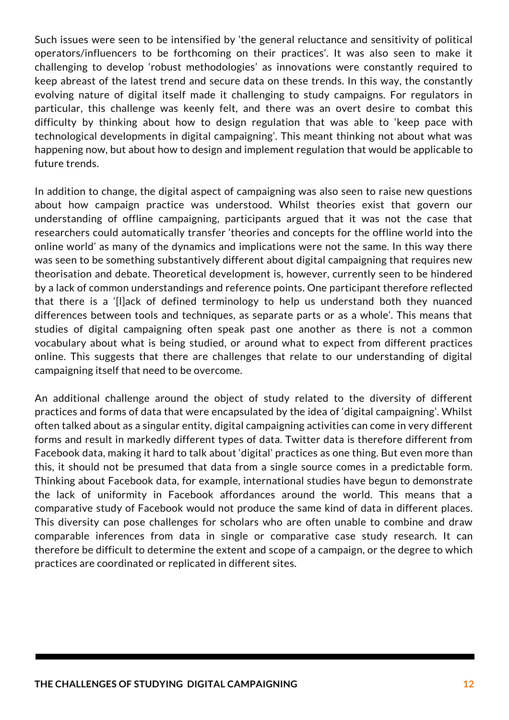Such issues were seen to be intensified by 'the general reluctance and sensitivity of political operators/influencers to be forthcoming on their practices'. It was also seen to make it challenging to develop 'robust methodologies' as innovations were constantly required to keep abreast of the latest trend and secure data on these trends. In this way, the constantly evolving nature of digital itself made it challenging to study campaigns. For regulators in particular, this challenge was keenly felt, and there was an overt desire to combat this difficulty by thinking about how to design regulation that was able to 'keep pace with technological developments in digital campaigning'. This meant thinking not about what was happening now, but about how to design and implement regulation that would be applicable to future trends.

In addition to change, the digital aspect of campaigning was also seen to raise new questions about how campaign practice was understood. Whilst theories exist that govern our understanding of offline campaigning, participants argued that it was not the case that researchers could automatically transfer 'theories and concepts for the offline world into the online world' as many of the dynamics and implications were not the same. In this way there was seen to be something substantively different about digital campaigning that requires new theorisation and debate. Theoretical development is, however, currently seen to be hindered by a lack of common understandings and reference points. One participant therefore reflected that there is a '[l]ack of defined terminology to help us understand both they nuanced differences between tools and techniques, as separate parts or as a whole'. This means that studies of digital campaigning often speak past one another as there is not a common vocabulary about what is being studied, or around what to expect from different practices online. This suggests that there are challenges that relate to our understanding of digital campaigning itself that need to be overcome.

An additional challenge around the object of study related to the diversity of different practices and forms of data that were encapsulated by the idea of 'digital campaigning'. Whilst often talked about as a singular entity, digital campaigning activities can come in very different forms and result in markedly different types of data. Twitter data is therefore different from Facebook data, making it hard to talk about 'digital' practices as one thing. But even more than this, it should not be presumed that data from a single source comes in a predictable form. Thinking about Facebook data, for example, international studies have begun to demonstrate the lack of uniformity in Facebook affordances around the world. This means that a comparative study of Facebook would not produce the same kind of data in different places. This diversity can pose challenges for scholars who are often unable to combine and draw comparable inferences from data in single or comparative case study research. It can therefore be difficult to determine the extent and scope of a campaign, or the degree to which practices are coordinated or replicated in different sites.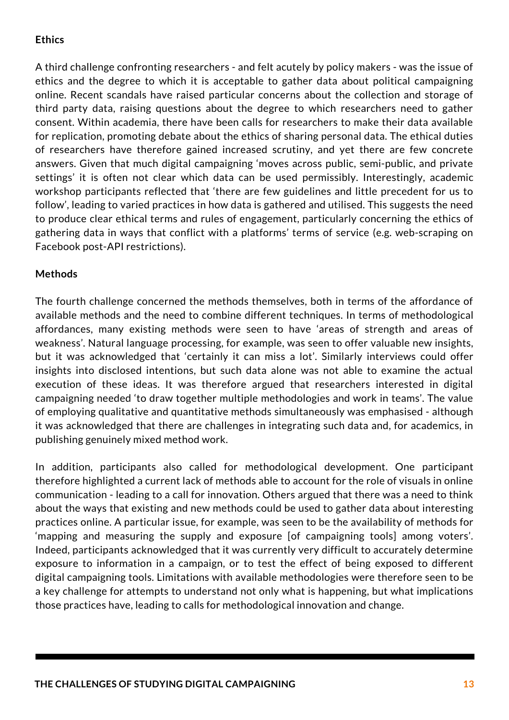### **Ethics**

A third challenge confronting researchers - and felt acutely by policy makers - was the issue of ethics and the degree to which it is acceptable to gather data about political campaigning online. Recent scandals have raised particular concerns about the collection and storage of third party data, raising questions about the degree to which researchers need to gather consent. Within academia, there have been calls for researchers to make their data available for replication, promoting debate about the ethics of sharing personal data. The ethical duties of researchers have therefore gained increased scrutiny, and yet there are few concrete answers. Given that much digital campaigning 'moves across public, semi-public, and private settings' it is often not clear which data can be used permissibly. Interestingly, academic workshop participants reflected that 'there are few guidelines and little precedent for us to follow', leading to varied practices in how data is gathered and utilised. This suggests the need to produce clear ethical terms and rules of engagement, particularly concerning the ethics of gathering data in ways that conflict with a platforms' terms of service (e.g. web-scraping on Facebook post-API restrictions).

### **Methods**

The fourth challenge concerned the methods themselves, both in terms of the affordance of available methods and the need to combine different techniques. In terms of methodological affordances, many existing methods were seen to have 'areas of strength and areas of weakness'. Natural language processing, for example, was seen to offer valuable new insights, but it was acknowledged that 'certainly it can miss a lot'. Similarly interviews could offer insights into disclosed intentions, but such data alone was not able to examine the actual execution of these ideas. It was therefore argued that researchers interested in digital campaigning needed 'to draw together multiple methodologies and work in teams'. The value of employing qualitative and quantitative methods simultaneously was emphasised - although it was acknowledged that there are challenges in integrating such data and, for academics, in publishing genuinely mixed method work.

In addition, participants also called for methodological development. One participant therefore highlighted a current lack of methods able to account for the role of visuals in online communication - leading to a call for innovation. Others argued that there was a need to think about the ways that existing and new methods could be used to gather data about interesting practices online. A particular issue, for example, was seen to be the availability of methods for 'mapping and measuring the supply and exposure [of campaigning tools] among voters'. Indeed, participants acknowledged that it was currently very difficult to accurately determine exposure to information in a campaign, or to test the effect of being exposed to different digital campaigning tools. Limitations with available methodologies were therefore seen to be a key challenge for attempts to understand not only what is happening, but what implications those practices have, leading to calls for methodological innovation and change.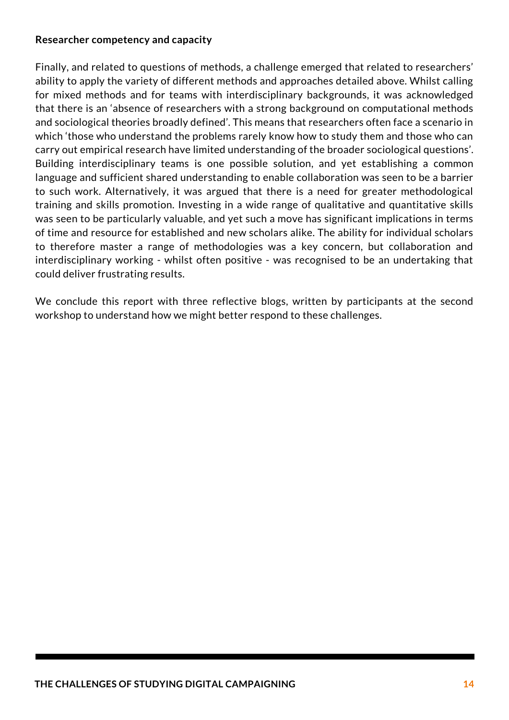### **Researcher competency and capacity**

Finally, and related to questions of methods, a challenge emerged that related to researchers' ability to apply the variety of different methods and approaches detailed above. Whilst calling for mixed methods and for teams with interdisciplinary backgrounds, it was acknowledged that there is an 'absence of researchers with a strong background on computational methods and sociological theories broadly defined'. This means that researchers often face a scenario in which 'those who understand the problems rarely know how to study them and those who can carry out empirical research have limited understanding of the broader sociological questions'. Building interdisciplinary teams is one possible solution, and yet establishing a common language and sufficient shared understanding to enable collaboration was seen to be a barrier to such work. Alternatively, it was argued that there is a need for greater methodological training and skills promotion. Investing in a wide range of qualitative and quantitative skills was seen to be particularly valuable, and yet such a move has significant implications in terms of time and resource for established and new scholars alike. The ability for individual scholars to therefore master a range of methodologies was a key concern, but collaboration and interdisciplinary working - whilst often positive - was recognised to be an undertaking that could deliver frustrating results.

We conclude this report with three reflective blogs, written by participants at the second workshop to understand how we might better respond to these challenges.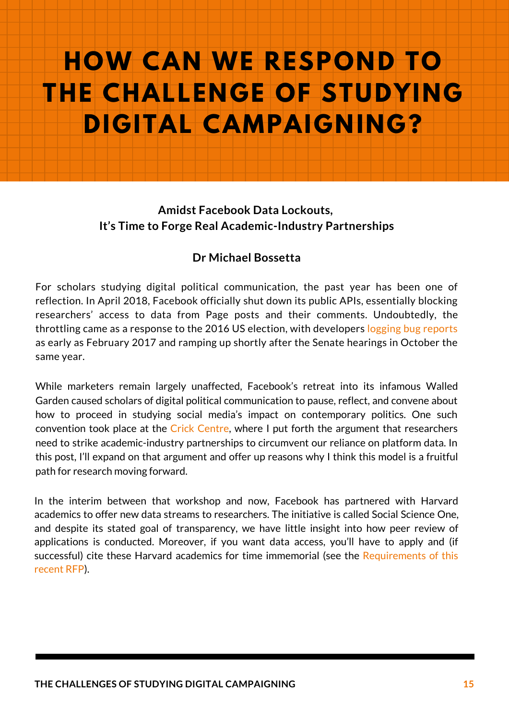# **OUR THE CHALLENGE OF STUDYING HOW CAN WE RESPOND TO DIGITAL CAMPAIGNING?**

### **Amidst Facebook Data Lockouts, It's Time to Forge Real [Academic-Industry](https://developers.facebook.com/support/bugs/1440672479284399/?disable_redirect=0) Partnerships**

### **Dr Michael Bossetta**

For scholars studying digital political communication, the past year has been one of reflection. In April 2018, Facebook officially shut down its public APIs, essentially blocking researchers' access to data from Page posts and their comments. Undoubtedly, the throttling came as a response to the 2016 US election, with developers logging bug reports as early as February 2017 and ramping up shortly after the Senate hearings in October the same year.

While marketers remain largely unaffected, Facebook's retreat into its infamous Walled Garden caused scholars of digital political communication to pause, reflect, and convene about how to proceed in studying social media's impact on contemporary politics. One such convention took place at the Crick Centre, where I put forth the argument that researchers need to strike [academic-industry](http://www.crickcentre.org/) partnerships to circumvent our reliance on platform data. In this post, I'll expand on that argument and offer up reasons why I think this model is a fruitful path for research moving forward.

In the interim between that workshop and now, Facebook has partnered with Harvard academics to offer new data streams to researchers. The initiative is called Social Science One, and despite its stated goal of transparency, we have little insight into how peer review of applications is conducted. Moreover, if you want data access, you'll have to apply and (if successful) cite these Harvard academics for time immemorial (see the [Requirements](https://socialscience.one/crowdtangle-codebook) of this recent RFP).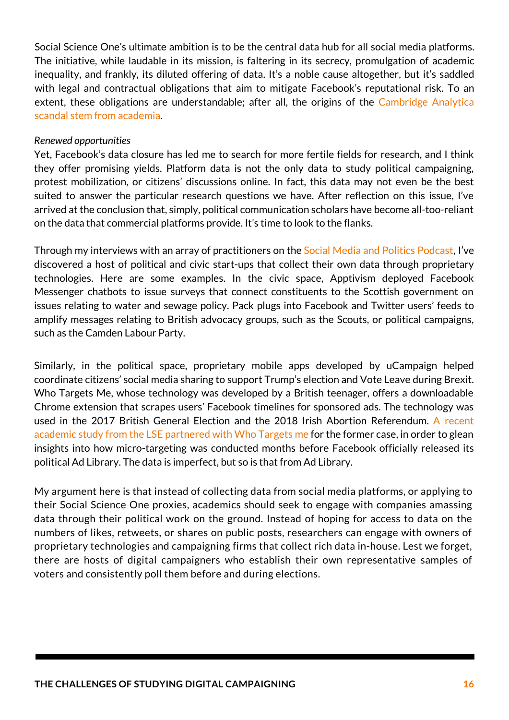Social Science One's ultimate ambition is to be the central data hub for all social media platforms. The initiative, while laudable in its mission, is faltering in its secrecy, promulgation of academic inequality, and frankly, its diluted offering of data. It's a noble cause altogether, but it's saddled with legal and contractual obligations that aim to mitigate Facebook's reputational risk. To an extent, these obligations are [understandable;](https://www.nytimes.com/2019/03/15/technology/aleksandr-kogan-facebook-cambridge-analytica.html) after all, the origins of the Cambridge Analytica scandal stem from academia.

#### *Renewed opportunities*

Yet, Facebook's data closure has led me to search for more fertile fields for research, and I think they offer promising yields. Platform data is not the only data to study political campaigning, protest mobilization, or citizens' discussions online. In fact, this data may not even be the best suited to answer the particular research questions we have. After reflection on this issue, I've arrived at the conclusion that, simply, political [communication](https://socialmediaandpolitics.org/) scholars have become all-too-reliant on the data that commercial platforms provide. It's time to look to the flanks.

Through my interviews with an array of practitioners on the Social Media and Politics Podcast, I've discovered a host of political and civic start-ups that collect their own data through proprietary technologies. Here are some examples. In the civic space, Apptivism deployed Facebook Messenger chatbots to issue surveys that connect constituents to the Scottish government on issues relating to water and sewage policy. Pack plugs into Facebook and Twitter users' feeds to amplify messages relating to British advocacy groups, such as the Scouts, or political campaigns, such as the Camden Labour Party.

Similarly, in the political space, proprietary mobile apps developed by uCampaign helped coordinate citizens' social media sharing to support Trump's election and Vote Leave during Brexit. Who Targets Me, whose technology was developed by a British teenager, offers a downloadable Chrome extension that scrapes users' Facebook timelines for sponsored ads. The technology was used in the 2017 British General Election and the 2018 Irish Abortion Referendum. A recent academic study from the LSE partnered with Who Targets me for the former case, in order to glean insights into how [micro-targeting](https://socialmediaandpolitics.org/56-facebook-ads-2017-british-election/) was conducted months before Facebook officially released its political Ad Library. The data is imperfect, but so is that from Ad Library.

My argument here is that instead of collecting data from social media platforms, or applying to their Social Science One proxies, academics should seek to engage with companies amassing data through their political work on the ground. Instead of hoping for access to data on the numbers of likes, retweets, or shares on public posts, researchers can engage with owners of proprietary technologies and campaigning firms that collect rich data in-house. Lest we forget, there are hosts of digital campaigners who establish their own representative samples of voters and consistently poll them before and during elections.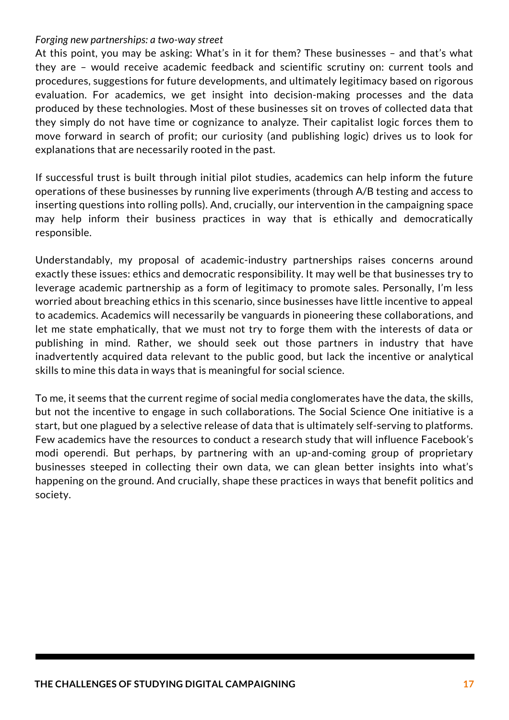#### *Forging new partnerships: a two-way street*

At this point, you may be asking: What's in it for them? These businesses – and that's what they are – would receive academic feedback and scientific scrutiny on: current tools and procedures, suggestions for future developments, and ultimately legitimacy based on rigorous evaluation. For academics, we get insight into decision-making processes and the data produced by these technologies. Most of these businesses sit on troves of collected data that they simply do not have time or cognizance to analyze. Their capitalist logic forces them to move forward in search of profit; our curiosity (and publishing logic) drives us to look for explanations that are necessarily rooted in the past.

If successful trust is built through initial pilot studies, academics can help inform the future operations of these businesses by running live experiments (through A/B testing and access to inserting questions into rolling polls). And, crucially, our intervention in the campaigning space may help inform their business practices in way that is ethically and democratically responsible.

Understandably, my proposal of academic-industry partnerships raises concerns around exactly these issues: ethics and democratic responsibility. It may well be that businesses try to leverage academic partnership as a form of legitimacy to promote sales. Personally, I'm less worried about breaching ethics in this scenario, since businesses have little incentive to appeal to academics. Academics will necessarily be vanguards in pioneering these collaborations, and let me state emphatically, that we must not try to forge them with the interests of data or publishing in mind. Rather, we should seek out those partners in industry that have inadvertently acquired data relevant to the public good, but lack the incentive or analytical skills to mine this data in ways that is meaningful for social science.

To me, it seems that the current regime of social media conglomerates have the data, the skills, but not the incentive to engage in such collaborations. The Social Science One initiative is a start, but one plagued by a selective release of data that is ultimately self-serving to platforms. Few academics have the resources to conduct a research study that will influence Facebook's modi operendi. But perhaps, by partnering with an up-and-coming group of proprietary businesses steeped in collecting their own data, we can glean better insights into what's happening on the ground. And crucially, shape these practices in ways that benefit politics and society.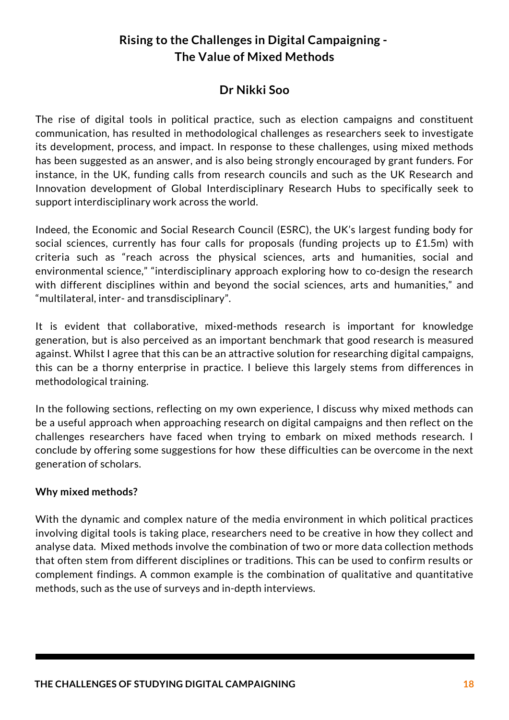### **Rising to the Challenges in Digital Campaigning - The Value of Mixed Methods**

### **Dr Nikki Soo**

The rise of digital tools in political practice, such as election campaigns and constituent communication, has resulted in methodological challenges as researchers seek to investigate its development, process, and impact. In response to these challenges, using mixed methods has been suggested as an answer, and is also being strongly encouraged by grant funders. For instance, in the UK, funding calls from research councils and such as the UK Research and Innovation development of Global Interdisciplinary Research Hubs to specifically seek to support interdisciplinary work across the world.

Indeed, the Economic and Social Research Council (ESRC), the UK's largest funding body for social sciences, currently has four calls for proposals (funding projects up to £1.5m) with criteria such as "reach across the physical sciences, arts and humanities, social and environmental science," "interdisciplinary approach exploring how to co-design the research with different disciplines within and beyond the social sciences, arts and humanities," and "multilateral, inter- and transdisciplinary".

It is evident that collaborative, mixed-methods research is important for knowledge generation, but is also perceived as an important benchmark that good research is measured against. Whilst I agree that this can be an attractive solution for researching digital campaigns, this can be a thorny enterprise in practice. I believe this largely stems from differences in methodological training.

In the following sections, reflecting on my own experience, I discuss why mixed methods can be a useful approach when approaching research on digital campaigns and then reflect on the challenges researchers have faced when trying to embark on mixed methods research. I conclude by offering some suggestions for how these difficulties can be overcome in the next generation of scholars.

### **Why mixed methods?**

With the dynamic and complex nature of the media environment in which political practices involving digital tools is taking place, researchers need to be creative in how they collect and analyse data. Mixed methods involve the combination of two or more data collection methods that often stem from different disciplines or traditions. This can be used to confirm results or complement findings. A common example is the combination of qualitative and quantitative methods, such as the use of surveys and in-depth interviews.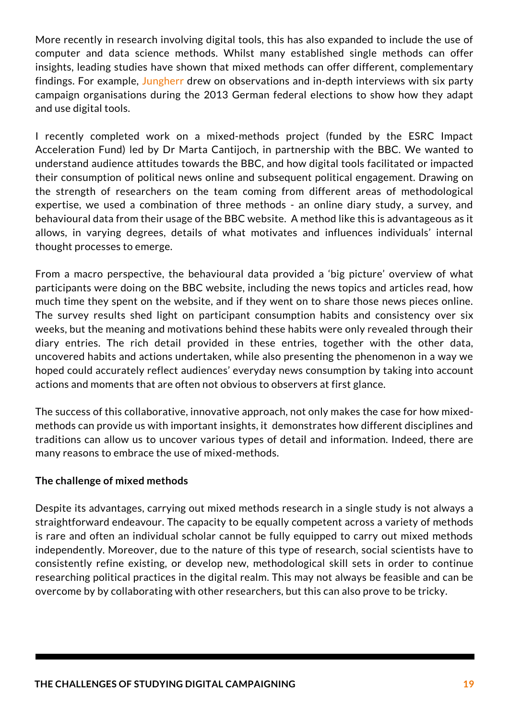More recently in research involving digital tools, this has also expanded to include the use of computer and data science methods. Whilst many established single methods can offer insights, leading studies have shown that mixed methods can offer different, complementary findings. For example, Jungherr drew on observations and in-depth interviews with six party campaign organisations during the 2013 German federal elections to show how they adapt and use digital tools.

I recently completed work on a mixed-methods project (funded by the ESRC Impact Acceleration Fund) led by Dr Marta Cantijoch, in partnership with the BBC. We wanted to understand audience attitudes towards the BBC, and how digital tools facilitated or impacted their consumption of political news online and subsequent political engagement. Drawing on the strength of researchers on the team coming from different areas of methodological expertise, we used a combination of three methods - an online diary study, a survey, and behavioural data from their usage of the BBC website. A method like this is advantageous as it allows, in varying degrees, details of what motivates and influences individuals' internal thought processes to emerge.

From a macro perspective, the behavioural data provided a 'big picture' overview of what participants were doing on the BBC website, including the news topics and articles read, how much time they spent on the website, and if they went on to share those news pieces online. The survey results shed light on participant consumption habits and consistency over six weeks, but the meaning and motivations behind these habits were only revealed through their diary entries. The rich detail provided in these entries, together with the other data, uncovered habits and actions undertaken, while also presenting the phenomenon in a way we hoped could accurately reflect audiences' everyday news consumption by taking into account actions and moments that are often not obvious to observers at first glance.

The success of this collaborative, innovative approach, not only makes the case for how mixedmethods can provide us with important insights, it demonstrates how different disciplines and traditions can allow us to uncover various types of detail and information. Indeed, there are many reasons to embrace the use of [mixed-methods.](https://journals.sagepub.com/doi/full/10.1177/1940161216642597)

### **The challenge of mixed methods**

Despite its advantages, carrying out mixed methods research in a single study is not always a straightforward endeavour. The capacity to be equally competent across a variety of methods is rare and often an individual scholar cannot be fully equipped to carry out mixed methods independently. Moreover, due to the nature of this type of research, social scientists have to consistently refine existing, or develop new, methodological skill sets in order to continue researching political practices in the digital realm. This may not always be feasible and can be overcome by by collaborating with other researchers, but this can also prove to be tricky.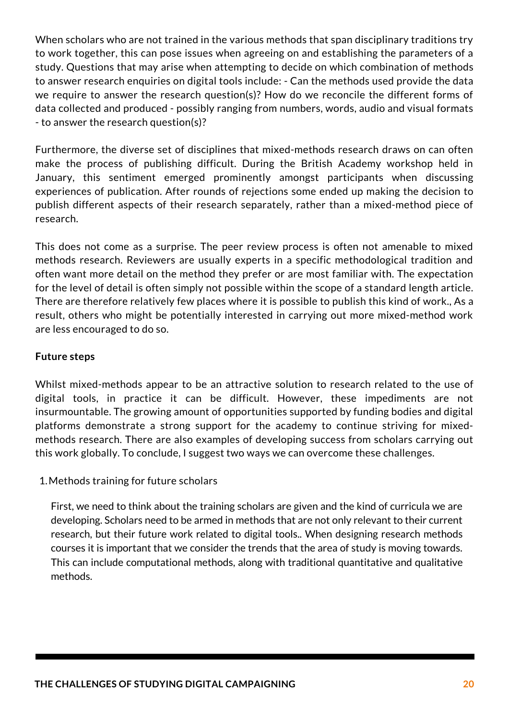When scholars who are not trained in the various methods that span disciplinary traditions try to work together, this can pose issues when agreeing on and establishing the parameters of a study. Questions that may arise when attempting to decide on which combination of methods to answer research enquiries on digital tools include: - Can the methods used provide the data we require to answer the research question(s)? How do we reconcile the different forms of data collected and produced - possibly ranging from numbers, words, audio and visual formats - to answer the research question(s)?

Furthermore, the diverse set of disciplines that mixed-methods research draws on can often make the process of publishing difficult. During the British Academy workshop held in January, this sentiment emerged prominently amongst participants when discussing experiences of publication. After rounds of rejections some ended up making the decision to publish different aspects of their research separately, rather than a mixed-method piece of research.

This does not come as a surprise. The peer review process is often not amenable to mixed methods research. Reviewers are usually experts in a specific methodological tradition and often want more detail on the method they prefer or are most familiar with. The expectation for the level of detail is often simply not possible within the scope of a standard length article. There are therefore relatively few places where it is possible to publish this kind of work., As a result, others who might be potentially interested in carrying out more mixed-method work are less encouraged to do so.

### **Future steps**

Whilst mixed-methods appear to be an attractive solution to research related to the use of digital tools, in practice it can be difficult. However, these impediments are not insurmountable. The growing amount of opportunities supported by funding bodies and digital platforms demonstrate a strong support for the academy to continue striving for mixedmethods research. There are also examples of developing success from scholars carrying out this work globally. To conclude, I suggest two ways we can overcome these challenges.

1.Methods training for future scholars

First, we need to think about the training scholars are given and the kind of curricula we are developing. Scholars need to be armed in methods that are not only relevant to their current research, but their future work related to digital tools.. When designing research methods courses it is important that we consider the trends that the area of study is moving towards. This can include computational methods, along with traditional quantitative and qualitative methods.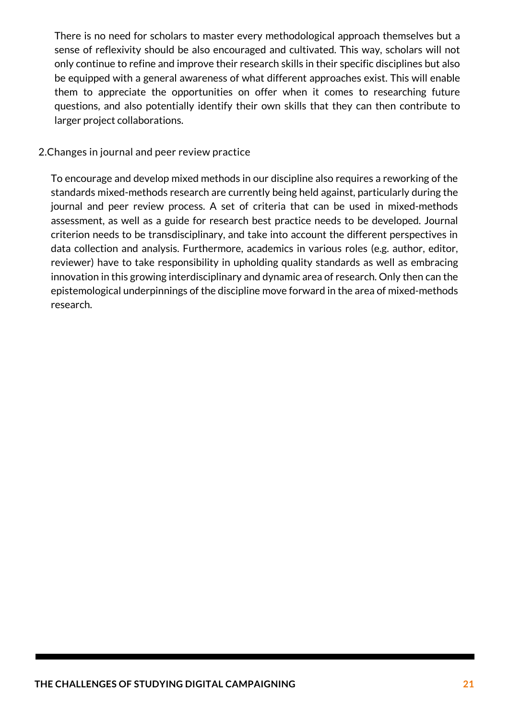There is no need for scholars to master every methodological approach themselves but a sense of reflexivity should be also encouraged and cultivated. This way, scholars will not only continue to refine and improve their research skills in their specific disciplines but also be equipped with a general awareness of what different approaches exist. This will enable them to appreciate the opportunities on offer when it comes to researching future questions, and also potentially identify their own skills that they can then contribute to larger project collaborations.

### 2.Changes in journal and peer review practice

To encourage and develop mixed methods in our discipline also requires a reworking of the standards mixed-methods research are currently being held against, particularly during the journal and peer review process. A set of criteria that can be used in mixed-methods assessment, as well as a guide for research best practice needs to be developed. Journal criterion needs to be transdisciplinary, and take into account the different perspectives in data collection and analysis. Furthermore, academics in various roles (e.g. author, editor, reviewer) have to take responsibility in upholding quality standards as well as embracing innovation in this growing interdisciplinary and dynamic area of research. Only then can the epistemological underpinnings of the discipline move forward in the area of mixed-methods research.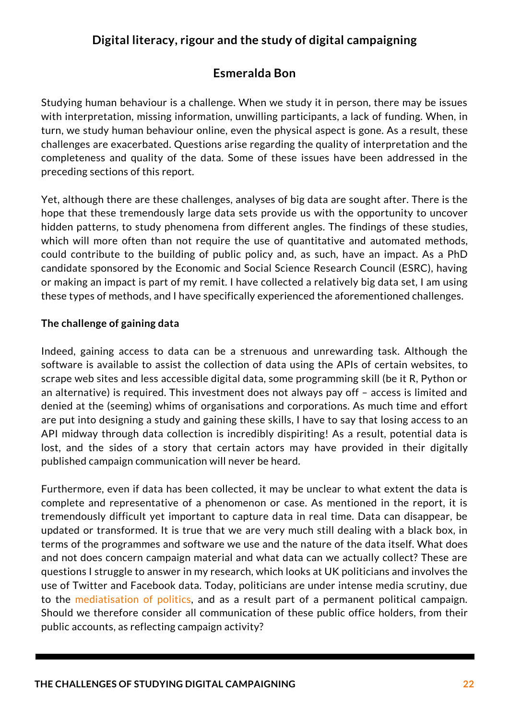### **Digital literacy, rigour and the study of digital [campaigning](https://journals.sagepub.com/doi/abs/10.1177/1940161208319097)**

### **Esmeralda Bon**

Studying human behaviour is a challenge. When we study it in person, there may be issues with interpretation, missing information, unwilling participants, a lack of funding. When, in turn, we study human behaviour online, even the physical aspect is gone. As a result, these challenges are exacerbated. Questions arise regarding the quality of interpretation and the completeness and quality of the data. Some of these issues have been addressed in the preceding sections of this report.

Yet, although there are these challenges, analyses of big data are sought after. There is the hope that these tremendously large data sets provide us with the opportunity to uncover hidden patterns, to study phenomena from different angles. The findings of these studies, which will more often than not require the use of quantitative and automated methods, could contribute to the building of public policy and, as such, have an impact. As a PhD candidate sponsored by the Economic and Social Science Research Council (ESRC), having or making an impact is part of my remit. I have collected a relatively big data set, I am using these types of methods, and I have specifically experienced the aforementioned challenges.

### **The challenge of gaining data**

Indeed, gaining access to data can be a strenuous and unrewarding task. Although the software is available to assist the collection of data using the APIs of certain websites, to scrape web sites and less accessible digital data, some programming skill (be it R, Python or an alternative) is required. This investment does not always pay off – access is limited and denied at the (seeming) whims of organisations and corporations. As much time and effort are put into designing a study and gaining these skills, I have to say that losing access to an API midway through data collection is incredibly dispiriting! As a result, potential data is lost, and the sides of a story that certain actors may have provided in their digitally published campaign communication will never be heard.

Furthermore, even if data has been collected, it may be unclear to what extent the data is complete and representative of a phenomenon or case. As mentioned in the report, it is tremendously difficult yet important to capture data in real time. Data can disappear, be updated or transformed. It is true that we are very much still dealing with a black box, in terms of the programmes and software we use and the nature of the data itself. What does and not does concern campaign material and what data can we actually collect? These are questions I struggle to answer in my research, which looks at UK politicians and involves the use of Twitter and Facebook data. Today, politicians are under intense media scrutiny, due to the mediatisation of politics, and as a result part of a permanent political campaign. Should we therefore consider all communication of these public office holders, from their public accounts, as reflecting campaign activity?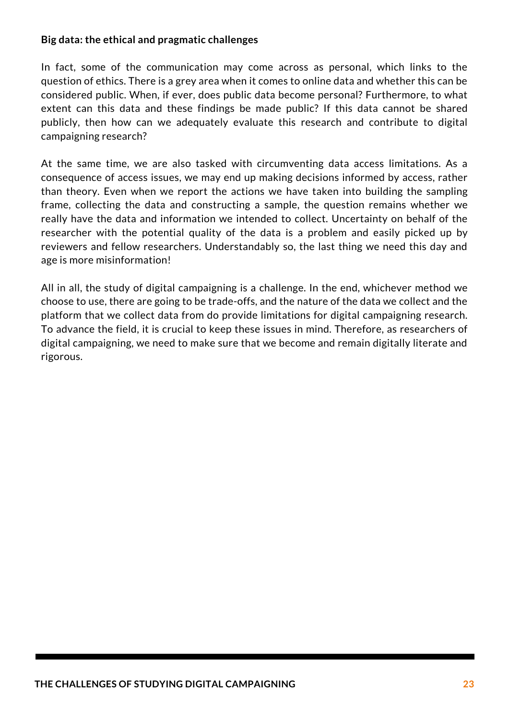### **Big data: the ethical and pragmatic challenges**

In fact, some of the communication may come across as personal, which links to the question of ethics. There is a grey area when it comes to online data and whether this can be considered public. When, if ever, does public data become personal? Furthermore, to what extent can this data and these findings be made public? If this data cannot be shared publicly, then how can we adequately evaluate this research and contribute to digital campaigning research?

At the same time, we are also tasked with circumventing data access limitations. As a consequence of access issues, we may end up making decisions informed by access, rather than theory. Even when we report the actions we have taken into building the sampling frame, collecting the data and constructing a sample, the question remains whether we really have the data and information we intended to collect. Uncertainty on behalf of the researcher with the potential quality of the data is a problem and easily picked up by reviewers and fellow researchers. Understandably so, the last thing we need this day and age is more misinformation!

All in all, the study of digital campaigning is a challenge. In the end, whichever method we choose to use, there are going to be trade-offs, and the nature of the data we collect and the platform that we collect data from do provide limitations for digital campaigning research. To advance the field, it is crucial to keep these issues in mind. Therefore, as researchers of digital campaigning, we need to make sure that we become and remain digitally literate and rigorous.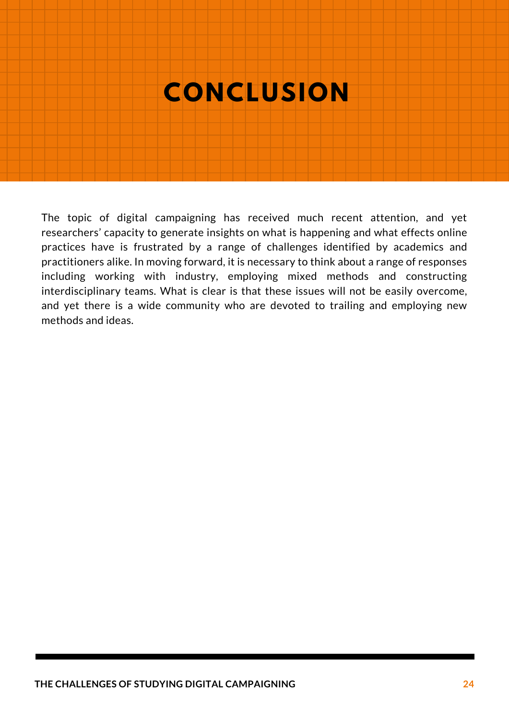# **CONCLUSION**

The topic of digital campaigning has received much recent attention, and yet researchers' capacity to generate insights on what is happening and what effects online practices have is frustrated by a range of challenges identified by academics and practitioners alike. In moving forward, it is necessary to think about a range of responses including working with industry, employing mixed methods and constructing interdisciplinary teams. What is clear is that these issues will not be easily overcome, and yet there is a wide community who are devoted to trailing and employing new methods and ideas.